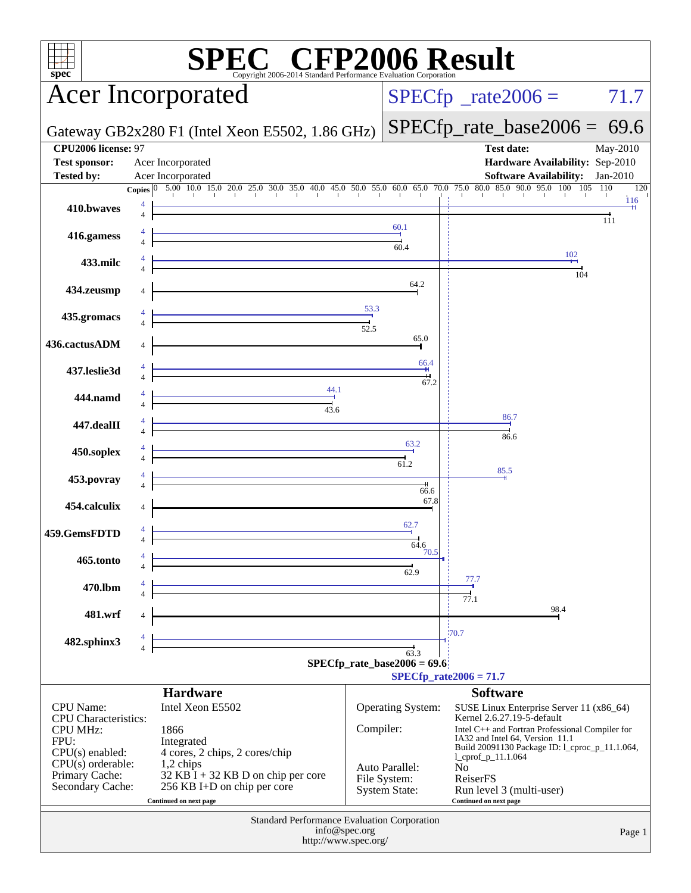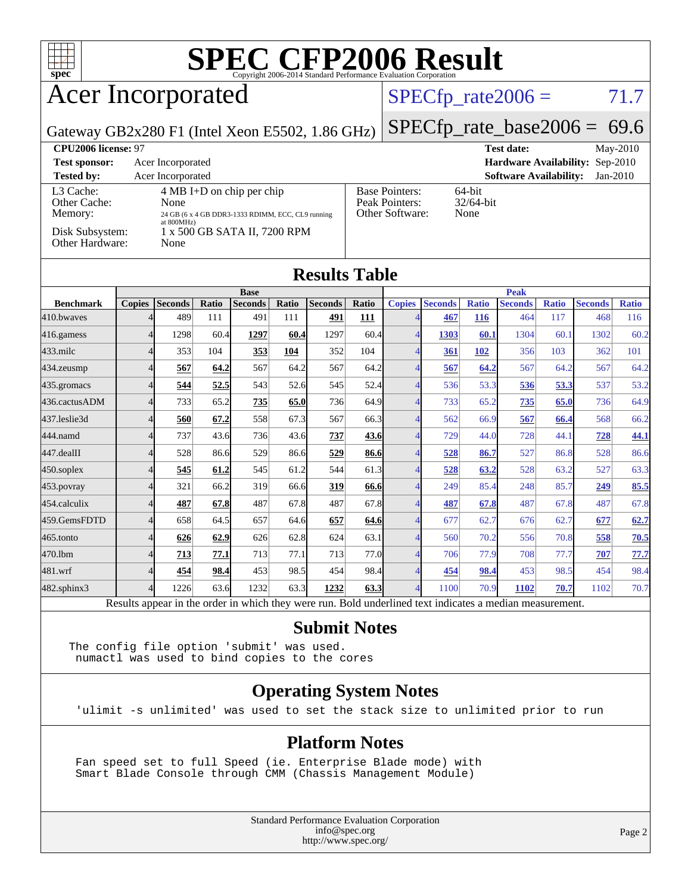

### Acer Incorporated

#### $SPECfp_rate2006 = 71.7$  $SPECfp_rate2006 = 71.7$

Gateway GB2x280 F1 (Intel Xeon E5502, 1.86 GHz)

[SPECfp\\_rate\\_base2006 =](http://www.spec.org/auto/cpu2006/Docs/result-fields.html#SPECfpratebase2006) 69.6

| CPU <sub>2006</sub> license: 97      |                                                                                                                   |                                                            | $Mav-2010$<br><b>Test date:</b>             |
|--------------------------------------|-------------------------------------------------------------------------------------------------------------------|------------------------------------------------------------|---------------------------------------------|
| <b>Test sponsor:</b>                 | Acer Incorporated                                                                                                 |                                                            | <b>Hardware Availability: Sep-2010</b>      |
| <b>Tested by:</b>                    | Acer Incorporated                                                                                                 |                                                            | <b>Software Availability:</b><br>$Jan-2010$ |
| L3 Cache:<br>Other Cache:<br>Memory: | $4 \text{ MB I+D}$ on chip per chip<br>None<br>24 GB (6 x 4 GB DDR3-1333 RDIMM, ECC, CL9 running<br>at $800MHz$ ) | <b>Base Pointers:</b><br>Peak Pointers:<br>Other Software: | $64$ -bit<br>$32/64$ -bit<br>None           |
| Disk Subsystem:<br>Other Hardware:   | 1 x 500 GB SATA II, 7200 RPM<br>None                                                                              |                                                            |                                             |

| <b>Results Table</b> |               |                |       |                |       |                |             |                |                |              |                |              |                |              |
|----------------------|---------------|----------------|-------|----------------|-------|----------------|-------------|----------------|----------------|--------------|----------------|--------------|----------------|--------------|
|                      | <b>Base</b>   |                |       |                |       | <b>Peak</b>    |             |                |                |              |                |              |                |              |
| <b>Benchmark</b>     | <b>Copies</b> | <b>Seconds</b> | Ratio | <b>Seconds</b> | Ratio | <b>Seconds</b> | Ratio       | <b>Copies</b>  | <b>Seconds</b> | <b>Ratio</b> | <b>Seconds</b> | <b>Ratio</b> | <b>Seconds</b> | <b>Ratio</b> |
| 410.bwayes           |               | 489            | 111   | 491            | 111   | 491            | <u> 111</u> | $\overline{4}$ | 467            | <b>116</b>   | 464            | 117          | 468            | 116          |
| 416.gamess           | 4             | 1298           | 60.4  | 1297           | 60.4  | 1297           | 60.4        | $\overline{4}$ | 1303           | 60.1         | 1304           | 60.1         | 1302           | 60.2         |
| $433$ .milc          |               | 353            | 104   | 353            | 104   | 352            | 104         | $\overline{4}$ | 361            | 102          | 356            | 103          | 362            | 101          |
| 434.zeusmp           |               | 567            | 64.2  | 567            | 64.2  | 567            | 64.2        | 4              | 567            | 64.2         | 567            | 64.2         | 567            | 64.2         |
| 435.gromacs          |               | 544            | 52.5  | 543            | 52.6  | 545            | 52.4        | 4              | 536            | 53.3         | 536            | 53.3         | 537            | 53.2         |
| 436.cactusADM        | Δ             | 733            | 65.2  | 735            | 65.0  | 736            | 64.9        | $\overline{4}$ | 733            | 65.2         | 735            | 65.0         | 736            | 64.9         |
| 437.leslie3d         | Δ             | 560            | 67.2  | 558            | 67.3  | 567            | 66.3        | $\overline{4}$ | 562            | 66.9         | 567            | 66.4         | 568            | 66.2         |
| 444.namd             | Δ             | 737            | 43.6  | 736            | 43.6  | 737            | 43.6        | $\overline{4}$ | 729            | 44.0         | 728            | 44.1         | 728            | 44.1         |
| 447.dealII           |               | 528            | 86.6  | 529            | 86.6  | 529            | 86.6        | $\overline{4}$ | 528            | 86.7         | 527            | 86.8         | 528            | 86.6         |
| 450.soplex           |               | 545            | 61.2  | 545            | 61.2  | 544            | 61.3        | $\overline{4}$ | 528            | 63.2         | 528            | 63.2         | 527            | 63.3         |
| 453.povray           |               | 321            | 66.2  | 319            | 66.6  | 319            | 66.6        | 4              | 249            | 85.4         | 248            | 85.7         | 249            | 85.5         |
| 454.calculix         |               | 487            | 67.8  | 487            | 67.8  | 487            | 67.8        | 4              | 487            | 67.8         | 487            | 67.8         | 487            | 67.8         |
| 459.GemsFDTD         |               | 658            | 64.5  | 657            | 64.6  | 657            | 64.6        | 4              | 677            | 62.7         | 676            | 62.7         | 677            | 62.7         |
| 465.tonto            | $\Lambda$     | 626            | 62.9  | 626            | 62.8  | 624            | 63.1        | 4              | 560            | 70.2         | 556            | 70.8         | 558            | 70.5         |
| 470.1bm              |               | 713            | 77.1  | 713            | 77.1  | 713            | 77.0        | $\overline{4}$ | 706            | 77.9         | 708            | 77.7         | 707            | 77.7         |
| 481.wrf              |               | 454            | 98.4  | 453            | 98.5  | 454            | 98.4        | 4              | 454            | 98.4         | 453            | 98.5         | 454            | 98.4         |
| 482.sphinx3          | 4             | 1226           | 63.6  | 1232           | 63.3  | 1232           | 63.3        | $\overline{4}$ | 1100           | 70.9         | 1102           | 70.7         | 1102           | 70.7         |

Results appear in the [order in which they were run.](http://www.spec.org/auto/cpu2006/Docs/result-fields.html#RunOrder) Bold underlined text [indicates a median measurement.](http://www.spec.org/auto/cpu2006/Docs/result-fields.html#Median)

#### **[Submit Notes](http://www.spec.org/auto/cpu2006/Docs/result-fields.html#SubmitNotes)**

The config file option 'submit' was used. numactl was used to bind copies to the cores

#### **[Operating System Notes](http://www.spec.org/auto/cpu2006/Docs/result-fields.html#OperatingSystemNotes)**

'ulimit -s unlimited' was used to set the stack size to unlimited prior to run

#### **[Platform Notes](http://www.spec.org/auto/cpu2006/Docs/result-fields.html#PlatformNotes)**

 Fan speed set to full Speed (ie. Enterprise Blade mode) with Smart Blade Console through CMM (Chassis Management Module)

> Standard Performance Evaluation Corporation [info@spec.org](mailto:info@spec.org) <http://www.spec.org/>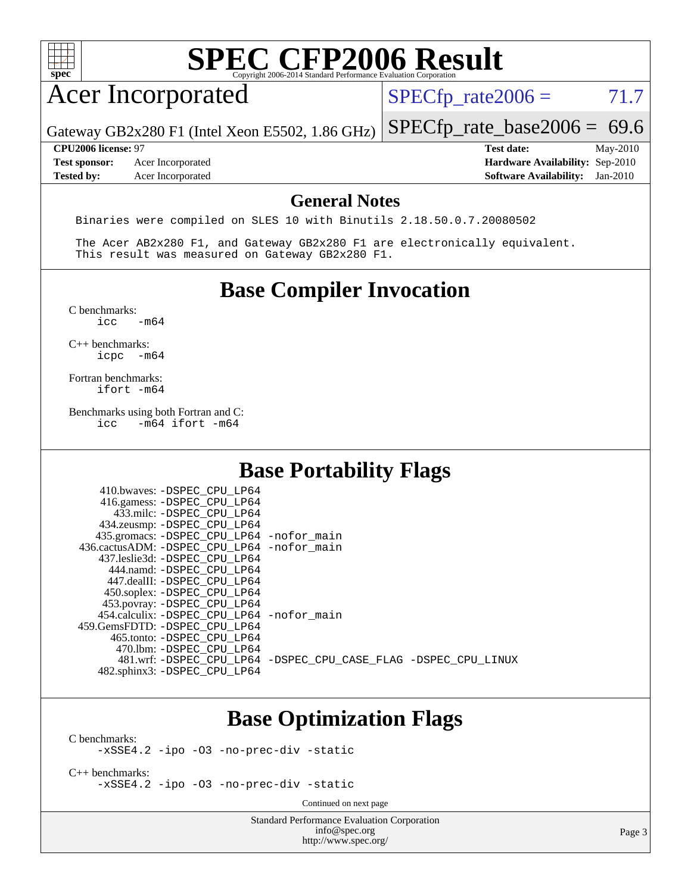| ٠ |  |  |  |  |
|---|--|--|--|--|

## Acer Incorporated

 $SPECTp_rate2006 = 71.7$ 

Gateway GB2x280 F1 (Intel Xeon E5502, 1.86 GHz)

**[Test sponsor:](http://www.spec.org/auto/cpu2006/Docs/result-fields.html#Testsponsor)** Acer Incorporated **[Hardware Availability:](http://www.spec.org/auto/cpu2006/Docs/result-fields.html#HardwareAvailability)** Sep-2010

[SPECfp\\_rate\\_base2006 =](http://www.spec.org/auto/cpu2006/Docs/result-fields.html#SPECfpratebase2006) 69.6 **[CPU2006 license:](http://www.spec.org/auto/cpu2006/Docs/result-fields.html#CPU2006license)** 97 **[Test date:](http://www.spec.org/auto/cpu2006/Docs/result-fields.html#Testdate)** May-2010

**[Tested by:](http://www.spec.org/auto/cpu2006/Docs/result-fields.html#Testedby)** Acer Incorporated **[Software Availability:](http://www.spec.org/auto/cpu2006/Docs/result-fields.html#SoftwareAvailability)** Jan-2010

#### **[General Notes](http://www.spec.org/auto/cpu2006/Docs/result-fields.html#GeneralNotes)**

Binaries were compiled on SLES 10 with Binutils 2.18.50.0.7.20080502

 The Acer AB2x280 F1, and Gateway GB2x280 F1 are electronically equivalent. This result was measured on Gateway GB2x280 F1.

#### **[Base Compiler Invocation](http://www.spec.org/auto/cpu2006/Docs/result-fields.html#BaseCompilerInvocation)**

 $C$  benchmarks:<br>icc  $-m64$ 

[C++ benchmarks:](http://www.spec.org/auto/cpu2006/Docs/result-fields.html#CXXbenchmarks) [icpc -m64](http://www.spec.org/cpu2006/results/res2010q3/cpu2006-20100715-12393.flags.html#user_CXXbase_intel_icpc_64bit_bedb90c1146cab66620883ef4f41a67e)

[Fortran benchmarks](http://www.spec.org/auto/cpu2006/Docs/result-fields.html#Fortranbenchmarks): [ifort -m64](http://www.spec.org/cpu2006/results/res2010q3/cpu2006-20100715-12393.flags.html#user_FCbase_intel_ifort_64bit_ee9d0fb25645d0210d97eb0527dcc06e)

[Benchmarks using both Fortran and C](http://www.spec.org/auto/cpu2006/Docs/result-fields.html#BenchmarksusingbothFortranandC):<br>icc -m64 if ort -m64  $-m64$  ifort  $-m64$ 

410.bwayes: DODEC CDU LD64

#### **[Base Portability Flags](http://www.spec.org/auto/cpu2006/Docs/result-fields.html#BasePortabilityFlags)**

| 410.0WAVES. - DSPEC CPU LP04               |                                                                |
|--------------------------------------------|----------------------------------------------------------------|
| 416.gamess: -DSPEC_CPU_LP64                |                                                                |
| 433.milc: -DSPEC CPU LP64                  |                                                                |
| 434.zeusmp: -DSPEC_CPU_LP64                |                                                                |
| 435.gromacs: -DSPEC_CPU_LP64 -nofor_main   |                                                                |
| 436.cactusADM: -DSPEC CPU LP64 -nofor main |                                                                |
| 437.leslie3d: -DSPEC CPU LP64              |                                                                |
| 444.namd: -DSPEC CPU LP64                  |                                                                |
| 447.dealII: -DSPEC CPU LP64                |                                                                |
| 450.soplex: - DSPEC_CPU_LP64               |                                                                |
| 453.povray: -DSPEC_CPU_LP64                |                                                                |
| 454.calculix: -DSPEC CPU LP64 -nofor main  |                                                                |
| 459. GemsFDTD: - DSPEC CPU LP64            |                                                                |
| 465.tonto: -DSPEC CPU LP64                 |                                                                |
| 470.1bm: - DSPEC CPU LP64                  |                                                                |
|                                            | 481.wrf: -DSPEC CPU_LP64 -DSPEC_CPU_CASE_FLAG -DSPEC_CPU_LINUX |
| 482.sphinx3: -DSPEC CPU LP64               |                                                                |
|                                            |                                                                |

#### **[Base Optimization Flags](http://www.spec.org/auto/cpu2006/Docs/result-fields.html#BaseOptimizationFlags)**

[C benchmarks](http://www.spec.org/auto/cpu2006/Docs/result-fields.html#Cbenchmarks):

[-xSSE4.2](http://www.spec.org/cpu2006/results/res2010q3/cpu2006-20100715-12393.flags.html#user_CCbase_f-xSSE42_f91528193cf0b216347adb8b939d4107) [-ipo](http://www.spec.org/cpu2006/results/res2010q3/cpu2006-20100715-12393.flags.html#user_CCbase_f-ipo) [-O3](http://www.spec.org/cpu2006/results/res2010q3/cpu2006-20100715-12393.flags.html#user_CCbase_f-O3) [-no-prec-div](http://www.spec.org/cpu2006/results/res2010q3/cpu2006-20100715-12393.flags.html#user_CCbase_f-no-prec-div) [-static](http://www.spec.org/cpu2006/results/res2010q3/cpu2006-20100715-12393.flags.html#user_CCbase_f-static)

[C++ benchmarks:](http://www.spec.org/auto/cpu2006/Docs/result-fields.html#CXXbenchmarks) [-xSSE4.2](http://www.spec.org/cpu2006/results/res2010q3/cpu2006-20100715-12393.flags.html#user_CXXbase_f-xSSE42_f91528193cf0b216347adb8b939d4107) [-ipo](http://www.spec.org/cpu2006/results/res2010q3/cpu2006-20100715-12393.flags.html#user_CXXbase_f-ipo) [-O3](http://www.spec.org/cpu2006/results/res2010q3/cpu2006-20100715-12393.flags.html#user_CXXbase_f-O3) [-no-prec-div](http://www.spec.org/cpu2006/results/res2010q3/cpu2006-20100715-12393.flags.html#user_CXXbase_f-no-prec-div) [-static](http://www.spec.org/cpu2006/results/res2010q3/cpu2006-20100715-12393.flags.html#user_CXXbase_f-static)

Continued on next page

Standard Performance Evaluation Corporation [info@spec.org](mailto:info@spec.org) <http://www.spec.org/>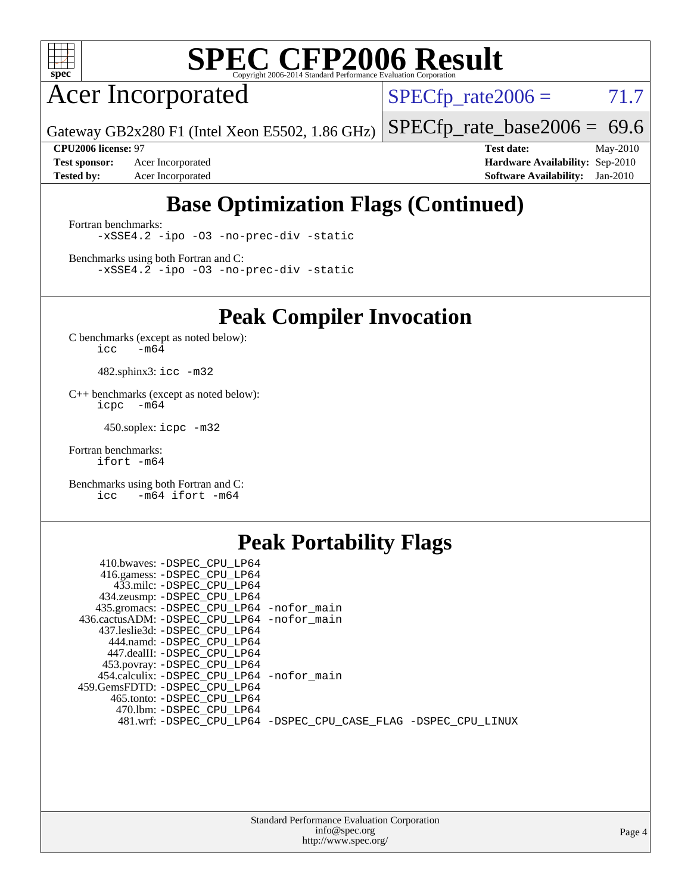

Acer Incorporated

 $SPECTp_rate2006 = 71.7$ 

[SPECfp\\_rate\\_base2006 =](http://www.spec.org/auto/cpu2006/Docs/result-fields.html#SPECfpratebase2006) 69.6

Gateway GB2x280 F1 (Intel Xeon E5502, 1.86 GHz)

**[Test sponsor:](http://www.spec.org/auto/cpu2006/Docs/result-fields.html#Testsponsor)** Acer Incorporated **[Hardware Availability:](http://www.spec.org/auto/cpu2006/Docs/result-fields.html#HardwareAvailability)** Sep-2010 **[Tested by:](http://www.spec.org/auto/cpu2006/Docs/result-fields.html#Testedby)** Acer Incorporated **[Software Availability:](http://www.spec.org/auto/cpu2006/Docs/result-fields.html#SoftwareAvailability)** Jan-2010

**[CPU2006 license:](http://www.spec.org/auto/cpu2006/Docs/result-fields.html#CPU2006license)** 97 **[Test date:](http://www.spec.org/auto/cpu2006/Docs/result-fields.html#Testdate)** May-2010

### **[Base Optimization Flags \(Continued\)](http://www.spec.org/auto/cpu2006/Docs/result-fields.html#BaseOptimizationFlags)**

[Fortran benchmarks](http://www.spec.org/auto/cpu2006/Docs/result-fields.html#Fortranbenchmarks): [-xSSE4.2](http://www.spec.org/cpu2006/results/res2010q3/cpu2006-20100715-12393.flags.html#user_FCbase_f-xSSE42_f91528193cf0b216347adb8b939d4107) [-ipo](http://www.spec.org/cpu2006/results/res2010q3/cpu2006-20100715-12393.flags.html#user_FCbase_f-ipo) [-O3](http://www.spec.org/cpu2006/results/res2010q3/cpu2006-20100715-12393.flags.html#user_FCbase_f-O3) [-no-prec-div](http://www.spec.org/cpu2006/results/res2010q3/cpu2006-20100715-12393.flags.html#user_FCbase_f-no-prec-div) [-static](http://www.spec.org/cpu2006/results/res2010q3/cpu2006-20100715-12393.flags.html#user_FCbase_f-static)

[Benchmarks using both Fortran and C](http://www.spec.org/auto/cpu2006/Docs/result-fields.html#BenchmarksusingbothFortranandC): [-xSSE4.2](http://www.spec.org/cpu2006/results/res2010q3/cpu2006-20100715-12393.flags.html#user_CC_FCbase_f-xSSE42_f91528193cf0b216347adb8b939d4107) [-ipo](http://www.spec.org/cpu2006/results/res2010q3/cpu2006-20100715-12393.flags.html#user_CC_FCbase_f-ipo) [-O3](http://www.spec.org/cpu2006/results/res2010q3/cpu2006-20100715-12393.flags.html#user_CC_FCbase_f-O3) [-no-prec-div](http://www.spec.org/cpu2006/results/res2010q3/cpu2006-20100715-12393.flags.html#user_CC_FCbase_f-no-prec-div) [-static](http://www.spec.org/cpu2006/results/res2010q3/cpu2006-20100715-12393.flags.html#user_CC_FCbase_f-static)

**[Peak Compiler Invocation](http://www.spec.org/auto/cpu2006/Docs/result-fields.html#PeakCompilerInvocation)**

[C benchmarks \(except as noted below\)](http://www.spec.org/auto/cpu2006/Docs/result-fields.html#Cbenchmarksexceptasnotedbelow):  $\text{icc}$  -m64

482.sphinx3: [icc -m32](http://www.spec.org/cpu2006/results/res2010q3/cpu2006-20100715-12393.flags.html#user_peakCCLD482_sphinx3_intel_icc_32bit_a6a621f8d50482236b970c6ac5f55f93)

[C++ benchmarks \(except as noted below\):](http://www.spec.org/auto/cpu2006/Docs/result-fields.html#CXXbenchmarksexceptasnotedbelow) [icpc -m64](http://www.spec.org/cpu2006/results/res2010q3/cpu2006-20100715-12393.flags.html#user_CXXpeak_intel_icpc_64bit_bedb90c1146cab66620883ef4f41a67e)

450.soplex: [icpc -m32](http://www.spec.org/cpu2006/results/res2010q3/cpu2006-20100715-12393.flags.html#user_peakCXXLD450_soplex_intel_icpc_32bit_4e5a5ef1a53fd332b3c49e69c3330699)

[Fortran benchmarks](http://www.spec.org/auto/cpu2006/Docs/result-fields.html#Fortranbenchmarks): [ifort -m64](http://www.spec.org/cpu2006/results/res2010q3/cpu2006-20100715-12393.flags.html#user_FCpeak_intel_ifort_64bit_ee9d0fb25645d0210d97eb0527dcc06e)

[Benchmarks using both Fortran and C](http://www.spec.org/auto/cpu2006/Docs/result-fields.html#BenchmarksusingbothFortranandC): [icc -m64](http://www.spec.org/cpu2006/results/res2010q3/cpu2006-20100715-12393.flags.html#user_CC_FCpeak_intel_icc_64bit_0b7121f5ab7cfabee23d88897260401c) [ifort -m64](http://www.spec.org/cpu2006/results/res2010q3/cpu2006-20100715-12393.flags.html#user_CC_FCpeak_intel_ifort_64bit_ee9d0fb25645d0210d97eb0527dcc06e)

### **[Peak Portability Flags](http://www.spec.org/auto/cpu2006/Docs/result-fields.html#PeakPortabilityFlags)**

| 410.bwaves: -DSPEC CPU LP64                                    |  |
|----------------------------------------------------------------|--|
| 416.gamess: -DSPEC_CPU_LP64                                    |  |
| 433.milc: -DSPEC CPU LP64                                      |  |
| 434.zeusmp: -DSPEC_CPU_LP64                                    |  |
| 435.gromacs: -DSPEC_CPU_LP64 -nofor_main                       |  |
| 436.cactusADM: -DSPEC CPU LP64 -nofor main                     |  |
| 437.leslie3d: -DSPEC CPU LP64                                  |  |
| 444.namd: -DSPEC_CPU_LP64                                      |  |
| 447.dealII: -DSPEC CPU LP64                                    |  |
| 453.povray: -DSPEC_CPU_LP64                                    |  |
| 454.calculix: -DSPEC_CPU_LP64 -nofor_main                      |  |
| 459.GemsFDTD: -DSPEC CPU LP64                                  |  |
| 465.tonto: - DSPEC CPU LP64                                    |  |
| 470.1bm: - DSPEC CPU LP64                                      |  |
| 481.wrf: -DSPEC_CPU_LP64 -DSPEC_CPU_CASE_FLAG -DSPEC_CPU_LINUX |  |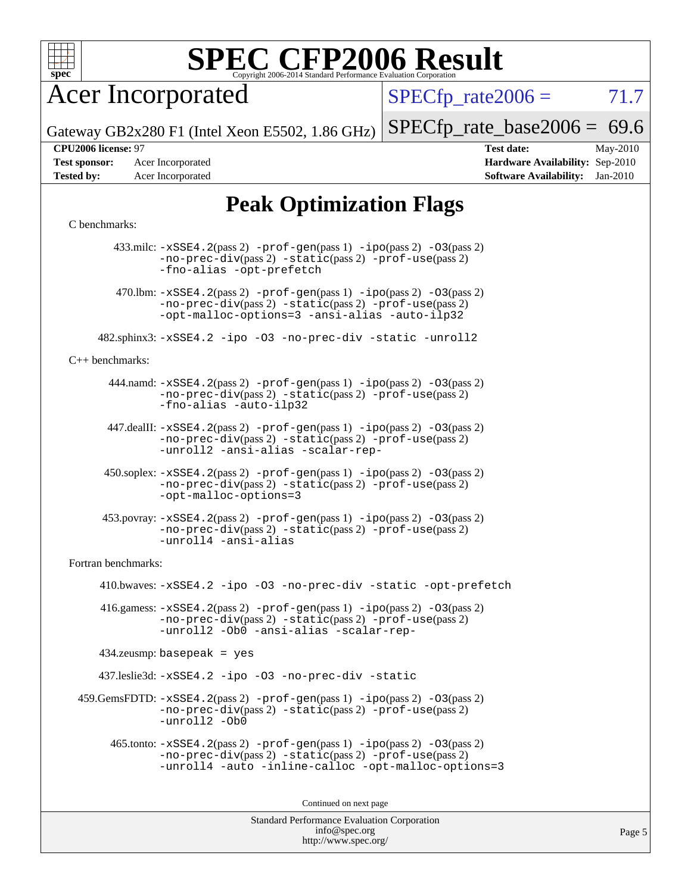

Acer Incorporated

 $SPECTp\_rate2006 = 71.7$ 

Page 5

Gateway GB2x280 F1 (Intel Xeon E5502, 1.86 GHz)

 $SPECTp_rate_base2006 = 69.6$ **[CPU2006 license:](http://www.spec.org/auto/cpu2006/Docs/result-fields.html#CPU2006license)** 97 **[Test date:](http://www.spec.org/auto/cpu2006/Docs/result-fields.html#Testdate)** May-2010

**[Test sponsor:](http://www.spec.org/auto/cpu2006/Docs/result-fields.html#Testsponsor)** Acer Incorporated **[Hardware Availability:](http://www.spec.org/auto/cpu2006/Docs/result-fields.html#HardwareAvailability)** Sep-2010 **[Tested by:](http://www.spec.org/auto/cpu2006/Docs/result-fields.html#Testedby)** Acer Incorporated **[Software Availability:](http://www.spec.org/auto/cpu2006/Docs/result-fields.html#SoftwareAvailability)** Jan-2010

### **[Peak Optimization Flags](http://www.spec.org/auto/cpu2006/Docs/result-fields.html#PeakOptimizationFlags)**

#### [C benchmarks](http://www.spec.org/auto/cpu2006/Docs/result-fields.html#Cbenchmarks):

Standard Performance Evaluation Corporation 433.milc: [-xSSE4.2](http://www.spec.org/cpu2006/results/res2010q3/cpu2006-20100715-12393.flags.html#user_peakPASS2_CFLAGSPASS2_LDFLAGS433_milc_f-xSSE42_f91528193cf0b216347adb8b939d4107)(pass 2) [-prof-gen](http://www.spec.org/cpu2006/results/res2010q3/cpu2006-20100715-12393.flags.html#user_peakPASS1_CFLAGSPASS1_LDFLAGS433_milc_prof_gen_e43856698f6ca7b7e442dfd80e94a8fc)(pass 1) [-ipo](http://www.spec.org/cpu2006/results/res2010q3/cpu2006-20100715-12393.flags.html#user_peakPASS2_CFLAGSPASS2_LDFLAGS433_milc_f-ipo)(pass 2) [-O3](http://www.spec.org/cpu2006/results/res2010q3/cpu2006-20100715-12393.flags.html#user_peakPASS2_CFLAGSPASS2_LDFLAGS433_milc_f-O3)(pass 2) [-no-prec-div](http://www.spec.org/cpu2006/results/res2010q3/cpu2006-20100715-12393.flags.html#user_peakPASS2_CFLAGSPASS2_LDFLAGS433_milc_f-no-prec-div)(pass 2) [-static](http://www.spec.org/cpu2006/results/res2010q3/cpu2006-20100715-12393.flags.html#user_peakPASS2_CFLAGSPASS2_LDFLAGS433_milc_f-static)(pass 2) [-prof-use](http://www.spec.org/cpu2006/results/res2010q3/cpu2006-20100715-12393.flags.html#user_peakPASS2_CFLAGSPASS2_LDFLAGS433_milc_prof_use_bccf7792157ff70d64e32fe3e1250b55)(pass 2) [-fno-alias](http://www.spec.org/cpu2006/results/res2010q3/cpu2006-20100715-12393.flags.html#user_peakOPTIMIZE433_milc_f-no-alias_694e77f6c5a51e658e82ccff53a9e63a) [-opt-prefetch](http://www.spec.org/cpu2006/results/res2010q3/cpu2006-20100715-12393.flags.html#user_peakOPTIMIZE433_milc_f-opt-prefetch) 470.1bm:  $-xSSE4$ . 2(pass 2)  $-prof-gen(pass 1) -ipo(pass 2) -O3(pass 2)$  $-prof-gen(pass 1) -ipo(pass 2) -O3(pass 2)$  $-prof-gen(pass 1) -ipo(pass 2) -O3(pass 2)$  $-prof-gen(pass 1) -ipo(pass 2) -O3(pass 2)$  $-prof-gen(pass 1) -ipo(pass 2) -O3(pass 2)$  $-prof-gen(pass 1) -ipo(pass 2) -O3(pass 2)$ [-no-prec-div](http://www.spec.org/cpu2006/results/res2010q3/cpu2006-20100715-12393.flags.html#user_peakPASS2_CFLAGSPASS2_LDFLAGS470_lbm_f-no-prec-div)(pass 2) [-static](http://www.spec.org/cpu2006/results/res2010q3/cpu2006-20100715-12393.flags.html#user_peakPASS2_CFLAGSPASS2_LDFLAGS470_lbm_f-static)(pass 2) [-prof-use](http://www.spec.org/cpu2006/results/res2010q3/cpu2006-20100715-12393.flags.html#user_peakPASS2_CFLAGSPASS2_LDFLAGS470_lbm_prof_use_bccf7792157ff70d64e32fe3e1250b55)(pass 2) [-opt-malloc-options=3](http://www.spec.org/cpu2006/results/res2010q3/cpu2006-20100715-12393.flags.html#user_peakOPTIMIZE470_lbm_f-opt-malloc-options_13ab9b803cf986b4ee62f0a5998c2238) [-ansi-alias](http://www.spec.org/cpu2006/results/res2010q3/cpu2006-20100715-12393.flags.html#user_peakOPTIMIZE470_lbm_f-ansi-alias) [-auto-ilp32](http://www.spec.org/cpu2006/results/res2010q3/cpu2006-20100715-12393.flags.html#user_peakCOPTIMIZE470_lbm_f-auto-ilp32) 482.sphinx3: [-xSSE4.2](http://www.spec.org/cpu2006/results/res2010q3/cpu2006-20100715-12393.flags.html#user_peakOPTIMIZE482_sphinx3_f-xSSE42_f91528193cf0b216347adb8b939d4107) [-ipo](http://www.spec.org/cpu2006/results/res2010q3/cpu2006-20100715-12393.flags.html#user_peakOPTIMIZE482_sphinx3_f-ipo) [-O3](http://www.spec.org/cpu2006/results/res2010q3/cpu2006-20100715-12393.flags.html#user_peakOPTIMIZE482_sphinx3_f-O3) [-no-prec-div](http://www.spec.org/cpu2006/results/res2010q3/cpu2006-20100715-12393.flags.html#user_peakOPTIMIZE482_sphinx3_f-no-prec-div) [-static](http://www.spec.org/cpu2006/results/res2010q3/cpu2006-20100715-12393.flags.html#user_peakOPTIMIZE482_sphinx3_f-static) [-unroll2](http://www.spec.org/cpu2006/results/res2010q3/cpu2006-20100715-12393.flags.html#user_peakCOPTIMIZE482_sphinx3_f-unroll_784dae83bebfb236979b41d2422d7ec2) [C++ benchmarks:](http://www.spec.org/auto/cpu2006/Docs/result-fields.html#CXXbenchmarks) 444.namd: [-xSSE4.2](http://www.spec.org/cpu2006/results/res2010q3/cpu2006-20100715-12393.flags.html#user_peakPASS2_CXXFLAGSPASS2_LDFLAGS444_namd_f-xSSE42_f91528193cf0b216347adb8b939d4107)(pass 2) [-prof-gen](http://www.spec.org/cpu2006/results/res2010q3/cpu2006-20100715-12393.flags.html#user_peakPASS1_CXXFLAGSPASS1_LDFLAGS444_namd_prof_gen_e43856698f6ca7b7e442dfd80e94a8fc)(pass 1) [-ipo](http://www.spec.org/cpu2006/results/res2010q3/cpu2006-20100715-12393.flags.html#user_peakPASS2_CXXFLAGSPASS2_LDFLAGS444_namd_f-ipo)(pass 2) [-O3](http://www.spec.org/cpu2006/results/res2010q3/cpu2006-20100715-12393.flags.html#user_peakPASS2_CXXFLAGSPASS2_LDFLAGS444_namd_f-O3)(pass 2) [-no-prec-div](http://www.spec.org/cpu2006/results/res2010q3/cpu2006-20100715-12393.flags.html#user_peakPASS2_CXXFLAGSPASS2_LDFLAGS444_namd_f-no-prec-div)(pass 2) [-static](http://www.spec.org/cpu2006/results/res2010q3/cpu2006-20100715-12393.flags.html#user_peakPASS2_CXXFLAGSPASS2_LDFLAGS444_namd_f-static)(pass 2) [-prof-use](http://www.spec.org/cpu2006/results/res2010q3/cpu2006-20100715-12393.flags.html#user_peakPASS2_CXXFLAGSPASS2_LDFLAGS444_namd_prof_use_bccf7792157ff70d64e32fe3e1250b55)(pass 2) [-fno-alias](http://www.spec.org/cpu2006/results/res2010q3/cpu2006-20100715-12393.flags.html#user_peakCXXOPTIMIZE444_namd_f-no-alias_694e77f6c5a51e658e82ccff53a9e63a) [-auto-ilp32](http://www.spec.org/cpu2006/results/res2010q3/cpu2006-20100715-12393.flags.html#user_peakCXXOPTIMIZE444_namd_f-auto-ilp32) 447.dealII: [-xSSE4.2](http://www.spec.org/cpu2006/results/res2010q3/cpu2006-20100715-12393.flags.html#user_peakPASS2_CXXFLAGSPASS2_LDFLAGS447_dealII_f-xSSE42_f91528193cf0b216347adb8b939d4107)(pass 2) [-prof-gen](http://www.spec.org/cpu2006/results/res2010q3/cpu2006-20100715-12393.flags.html#user_peakPASS1_CXXFLAGSPASS1_LDFLAGS447_dealII_prof_gen_e43856698f6ca7b7e442dfd80e94a8fc)(pass 1) [-ipo](http://www.spec.org/cpu2006/results/res2010q3/cpu2006-20100715-12393.flags.html#user_peakPASS2_CXXFLAGSPASS2_LDFLAGS447_dealII_f-ipo)(pass 2) [-O3](http://www.spec.org/cpu2006/results/res2010q3/cpu2006-20100715-12393.flags.html#user_peakPASS2_CXXFLAGSPASS2_LDFLAGS447_dealII_f-O3)(pass 2) [-no-prec-div](http://www.spec.org/cpu2006/results/res2010q3/cpu2006-20100715-12393.flags.html#user_peakPASS2_CXXFLAGSPASS2_LDFLAGS447_dealII_f-no-prec-div)(pass 2) [-static](http://www.spec.org/cpu2006/results/res2010q3/cpu2006-20100715-12393.flags.html#user_peakPASS2_CXXFLAGSPASS2_LDFLAGS447_dealII_f-static)(pass 2) [-prof-use](http://www.spec.org/cpu2006/results/res2010q3/cpu2006-20100715-12393.flags.html#user_peakPASS2_CXXFLAGSPASS2_LDFLAGS447_dealII_prof_use_bccf7792157ff70d64e32fe3e1250b55)(pass 2) [-unroll2](http://www.spec.org/cpu2006/results/res2010q3/cpu2006-20100715-12393.flags.html#user_peakCXXOPTIMIZE447_dealII_f-unroll_784dae83bebfb236979b41d2422d7ec2) [-ansi-alias](http://www.spec.org/cpu2006/results/res2010q3/cpu2006-20100715-12393.flags.html#user_peakCXXOPTIMIZE447_dealII_f-ansi-alias) [-scalar-rep-](http://www.spec.org/cpu2006/results/res2010q3/cpu2006-20100715-12393.flags.html#user_peakCXXOPTIMIZE447_dealII_f-disablescalarrep_abbcad04450fb118e4809c81d83c8a1d) 450.soplex: [-xSSE4.2](http://www.spec.org/cpu2006/results/res2010q3/cpu2006-20100715-12393.flags.html#user_peakPASS2_CXXFLAGSPASS2_LDFLAGS450_soplex_f-xSSE42_f91528193cf0b216347adb8b939d4107)(pass 2) [-prof-gen](http://www.spec.org/cpu2006/results/res2010q3/cpu2006-20100715-12393.flags.html#user_peakPASS1_CXXFLAGSPASS1_LDFLAGS450_soplex_prof_gen_e43856698f6ca7b7e442dfd80e94a8fc)(pass 1) [-ipo](http://www.spec.org/cpu2006/results/res2010q3/cpu2006-20100715-12393.flags.html#user_peakPASS2_CXXFLAGSPASS2_LDFLAGS450_soplex_f-ipo)(pass 2) [-O3](http://www.spec.org/cpu2006/results/res2010q3/cpu2006-20100715-12393.flags.html#user_peakPASS2_CXXFLAGSPASS2_LDFLAGS450_soplex_f-O3)(pass 2) [-no-prec-div](http://www.spec.org/cpu2006/results/res2010q3/cpu2006-20100715-12393.flags.html#user_peakPASS2_CXXFLAGSPASS2_LDFLAGS450_soplex_f-no-prec-div)(pass 2) [-static](http://www.spec.org/cpu2006/results/res2010q3/cpu2006-20100715-12393.flags.html#user_peakPASS2_CXXFLAGSPASS2_LDFLAGS450_soplex_f-static)(pass 2) [-prof-use](http://www.spec.org/cpu2006/results/res2010q3/cpu2006-20100715-12393.flags.html#user_peakPASS2_CXXFLAGSPASS2_LDFLAGS450_soplex_prof_use_bccf7792157ff70d64e32fe3e1250b55)(pass 2) [-opt-malloc-options=3](http://www.spec.org/cpu2006/results/res2010q3/cpu2006-20100715-12393.flags.html#user_peakOPTIMIZE450_soplex_f-opt-malloc-options_13ab9b803cf986b4ee62f0a5998c2238) 453.povray: [-xSSE4.2](http://www.spec.org/cpu2006/results/res2010q3/cpu2006-20100715-12393.flags.html#user_peakPASS2_CXXFLAGSPASS2_LDFLAGS453_povray_f-xSSE42_f91528193cf0b216347adb8b939d4107)(pass 2) [-prof-gen](http://www.spec.org/cpu2006/results/res2010q3/cpu2006-20100715-12393.flags.html#user_peakPASS1_CXXFLAGSPASS1_LDFLAGS453_povray_prof_gen_e43856698f6ca7b7e442dfd80e94a8fc)(pass 1) [-ipo](http://www.spec.org/cpu2006/results/res2010q3/cpu2006-20100715-12393.flags.html#user_peakPASS2_CXXFLAGSPASS2_LDFLAGS453_povray_f-ipo)(pass 2) [-O3](http://www.spec.org/cpu2006/results/res2010q3/cpu2006-20100715-12393.flags.html#user_peakPASS2_CXXFLAGSPASS2_LDFLAGS453_povray_f-O3)(pass 2) [-no-prec-div](http://www.spec.org/cpu2006/results/res2010q3/cpu2006-20100715-12393.flags.html#user_peakPASS2_CXXFLAGSPASS2_LDFLAGS453_povray_f-no-prec-div)(pass 2) [-static](http://www.spec.org/cpu2006/results/res2010q3/cpu2006-20100715-12393.flags.html#user_peakPASS2_CXXFLAGSPASS2_LDFLAGS453_povray_f-static)(pass 2) [-prof-use](http://www.spec.org/cpu2006/results/res2010q3/cpu2006-20100715-12393.flags.html#user_peakPASS2_CXXFLAGSPASS2_LDFLAGS453_povray_prof_use_bccf7792157ff70d64e32fe3e1250b55)(pass 2) [-unroll4](http://www.spec.org/cpu2006/results/res2010q3/cpu2006-20100715-12393.flags.html#user_peakCXXOPTIMIZE453_povray_f-unroll_4e5e4ed65b7fd20bdcd365bec371b81f) [-ansi-alias](http://www.spec.org/cpu2006/results/res2010q3/cpu2006-20100715-12393.flags.html#user_peakCXXOPTIMIZE453_povray_f-ansi-alias) [Fortran benchmarks](http://www.spec.org/auto/cpu2006/Docs/result-fields.html#Fortranbenchmarks): 410.bwaves: [-xSSE4.2](http://www.spec.org/cpu2006/results/res2010q3/cpu2006-20100715-12393.flags.html#user_peakOPTIMIZE410_bwaves_f-xSSE42_f91528193cf0b216347adb8b939d4107) [-ipo](http://www.spec.org/cpu2006/results/res2010q3/cpu2006-20100715-12393.flags.html#user_peakOPTIMIZE410_bwaves_f-ipo) [-O3](http://www.spec.org/cpu2006/results/res2010q3/cpu2006-20100715-12393.flags.html#user_peakOPTIMIZE410_bwaves_f-O3) [-no-prec-div](http://www.spec.org/cpu2006/results/res2010q3/cpu2006-20100715-12393.flags.html#user_peakOPTIMIZE410_bwaves_f-no-prec-div) [-static](http://www.spec.org/cpu2006/results/res2010q3/cpu2006-20100715-12393.flags.html#user_peakOPTIMIZE410_bwaves_f-static) [-opt-prefetch](http://www.spec.org/cpu2006/results/res2010q3/cpu2006-20100715-12393.flags.html#user_peakOPTIMIZE410_bwaves_f-opt-prefetch) 416.gamess:  $-xSSE4$ . 2(pass 2)  $-prof-gen(pass 1) -ipo(pass 2) -O3(pass 2)$  $-prof-gen(pass 1) -ipo(pass 2) -O3(pass 2)$  $-prof-gen(pass 1) -ipo(pass 2) -O3(pass 2)$  $-prof-gen(pass 1) -ipo(pass 2) -O3(pass 2)$  $-prof-gen(pass 1) -ipo(pass 2) -O3(pass 2)$  $-prof-gen(pass 1) -ipo(pass 2) -O3(pass 2)$ [-no-prec-div](http://www.spec.org/cpu2006/results/res2010q3/cpu2006-20100715-12393.flags.html#user_peakPASS2_FFLAGSPASS2_LDFLAGS416_gamess_f-no-prec-div)(pass 2) [-static](http://www.spec.org/cpu2006/results/res2010q3/cpu2006-20100715-12393.flags.html#user_peakPASS2_FFLAGSPASS2_LDFLAGS416_gamess_f-static)(pass 2) [-prof-use](http://www.spec.org/cpu2006/results/res2010q3/cpu2006-20100715-12393.flags.html#user_peakPASS2_FFLAGSPASS2_LDFLAGS416_gamess_prof_use_bccf7792157ff70d64e32fe3e1250b55)(pass 2) [-unroll2](http://www.spec.org/cpu2006/results/res2010q3/cpu2006-20100715-12393.flags.html#user_peakOPTIMIZE416_gamess_f-unroll_784dae83bebfb236979b41d2422d7ec2) [-Ob0](http://www.spec.org/cpu2006/results/res2010q3/cpu2006-20100715-12393.flags.html#user_peakOPTIMIZE416_gamess_f-Ob_n_fbe6f6428adb7d4b74b1e99bb2444c2d) [-ansi-alias](http://www.spec.org/cpu2006/results/res2010q3/cpu2006-20100715-12393.flags.html#user_peakOPTIMIZE416_gamess_f-ansi-alias) [-scalar-rep-](http://www.spec.org/cpu2006/results/res2010q3/cpu2006-20100715-12393.flags.html#user_peakOPTIMIZE416_gamess_f-disablescalarrep_abbcad04450fb118e4809c81d83c8a1d) 434.zeusmp: basepeak = yes 437.leslie3d: [-xSSE4.2](http://www.spec.org/cpu2006/results/res2010q3/cpu2006-20100715-12393.flags.html#user_peakOPTIMIZE437_leslie3d_f-xSSE42_f91528193cf0b216347adb8b939d4107) [-ipo](http://www.spec.org/cpu2006/results/res2010q3/cpu2006-20100715-12393.flags.html#user_peakOPTIMIZE437_leslie3d_f-ipo) [-O3](http://www.spec.org/cpu2006/results/res2010q3/cpu2006-20100715-12393.flags.html#user_peakOPTIMIZE437_leslie3d_f-O3) [-no-prec-div](http://www.spec.org/cpu2006/results/res2010q3/cpu2006-20100715-12393.flags.html#user_peakOPTIMIZE437_leslie3d_f-no-prec-div) [-static](http://www.spec.org/cpu2006/results/res2010q3/cpu2006-20100715-12393.flags.html#user_peakOPTIMIZE437_leslie3d_f-static)  $459$ .GemsFDTD:  $-xSSE4$ .  $2(pass 2)$  [-prof-gen](http://www.spec.org/cpu2006/results/res2010q3/cpu2006-20100715-12393.flags.html#user_peakPASS1_FFLAGSPASS1_LDFLAGS459_GemsFDTD_prof_gen_e43856698f6ca7b7e442dfd80e94a8fc)(pass 1) [-ipo](http://www.spec.org/cpu2006/results/res2010q3/cpu2006-20100715-12393.flags.html#user_peakPASS2_FFLAGSPASS2_LDFLAGS459_GemsFDTD_f-ipo)(pass 2) -03(pass 2) [-no-prec-div](http://www.spec.org/cpu2006/results/res2010q3/cpu2006-20100715-12393.flags.html#user_peakPASS2_FFLAGSPASS2_LDFLAGS459_GemsFDTD_f-no-prec-div)(pass 2) [-static](http://www.spec.org/cpu2006/results/res2010q3/cpu2006-20100715-12393.flags.html#user_peakPASS2_FFLAGSPASS2_LDFLAGS459_GemsFDTD_f-static)(pass 2) [-prof-use](http://www.spec.org/cpu2006/results/res2010q3/cpu2006-20100715-12393.flags.html#user_peakPASS2_FFLAGSPASS2_LDFLAGS459_GemsFDTD_prof_use_bccf7792157ff70d64e32fe3e1250b55)(pass 2) [-unroll2](http://www.spec.org/cpu2006/results/res2010q3/cpu2006-20100715-12393.flags.html#user_peakOPTIMIZE459_GemsFDTD_f-unroll_784dae83bebfb236979b41d2422d7ec2) [-Ob0](http://www.spec.org/cpu2006/results/res2010q3/cpu2006-20100715-12393.flags.html#user_peakOPTIMIZE459_GemsFDTD_f-Ob_n_fbe6f6428adb7d4b74b1e99bb2444c2d) 465.tonto: [-xSSE4.2](http://www.spec.org/cpu2006/results/res2010q3/cpu2006-20100715-12393.flags.html#user_peakPASS2_FFLAGSPASS2_LDFLAGS465_tonto_f-xSSE42_f91528193cf0b216347adb8b939d4107)(pass 2) [-prof-gen](http://www.spec.org/cpu2006/results/res2010q3/cpu2006-20100715-12393.flags.html#user_peakPASS1_FFLAGSPASS1_LDFLAGS465_tonto_prof_gen_e43856698f6ca7b7e442dfd80e94a8fc)(pass 1) [-ipo](http://www.spec.org/cpu2006/results/res2010q3/cpu2006-20100715-12393.flags.html#user_peakPASS2_FFLAGSPASS2_LDFLAGS465_tonto_f-ipo)(pass 2) [-O3](http://www.spec.org/cpu2006/results/res2010q3/cpu2006-20100715-12393.flags.html#user_peakPASS2_FFLAGSPASS2_LDFLAGS465_tonto_f-O3)(pass 2) [-no-prec-div](http://www.spec.org/cpu2006/results/res2010q3/cpu2006-20100715-12393.flags.html#user_peakPASS2_FFLAGSPASS2_LDFLAGS465_tonto_f-no-prec-div)(pass 2) [-static](http://www.spec.org/cpu2006/results/res2010q3/cpu2006-20100715-12393.flags.html#user_peakPASS2_FFLAGSPASS2_LDFLAGS465_tonto_f-static)(pass 2) [-prof-use](http://www.spec.org/cpu2006/results/res2010q3/cpu2006-20100715-12393.flags.html#user_peakPASS2_FFLAGSPASS2_LDFLAGS465_tonto_prof_use_bccf7792157ff70d64e32fe3e1250b55)(pass 2) [-unroll4](http://www.spec.org/cpu2006/results/res2010q3/cpu2006-20100715-12393.flags.html#user_peakOPTIMIZE465_tonto_f-unroll_4e5e4ed65b7fd20bdcd365bec371b81f) [-auto](http://www.spec.org/cpu2006/results/res2010q3/cpu2006-20100715-12393.flags.html#user_peakOPTIMIZE465_tonto_f-auto) [-inline-calloc](http://www.spec.org/cpu2006/results/res2010q3/cpu2006-20100715-12393.flags.html#user_peakOPTIMIZE465_tonto_f-inline-calloc) [-opt-malloc-options=3](http://www.spec.org/cpu2006/results/res2010q3/cpu2006-20100715-12393.flags.html#user_peakOPTIMIZE465_tonto_f-opt-malloc-options_13ab9b803cf986b4ee62f0a5998c2238) Continued on next page

> [info@spec.org](mailto:info@spec.org) <http://www.spec.org/>